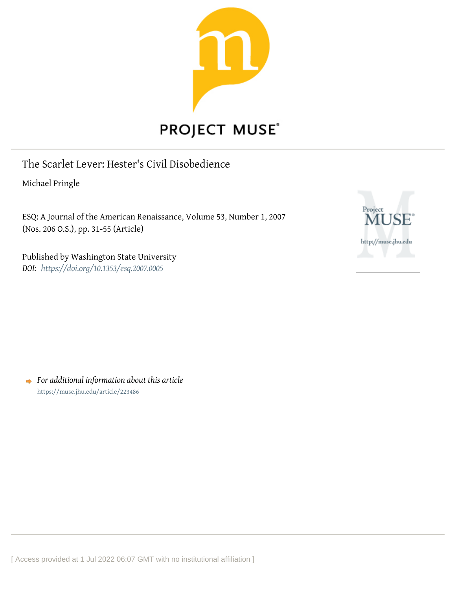

# **PROJECT MUSE®**

The Scarlet Lever: Hester's Civil Disobedience

Michael Pringle

ESQ: A Journal of the American Renaissance, Volume 53, Number 1, 2007 (Nos. 206 O.S.), pp. 31-55 (Article)

Published by Washington State University *DOI: <https://doi.org/10.1353/esq.2007.0005>*



*For additional information about this article* <https://muse.jhu.edu/article/223486>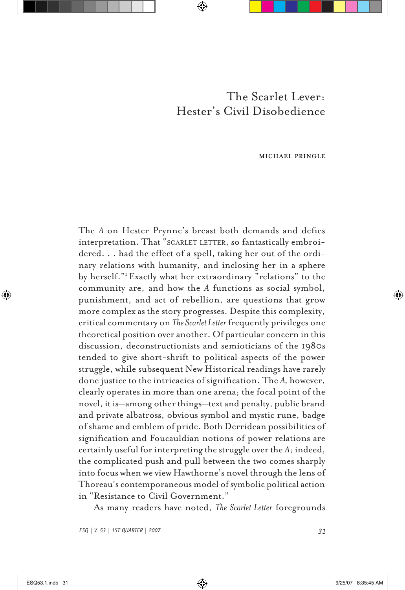# The Scarlet Lever: Hester's Civil Disobedience

### michael pringle

The *A* on Hester Prynne's breast both demands and defies interpretation. That "SCARLET LETTER, so fantastically embroidered. . . had the effect of a spell, taking her out of the ordinary relations with humanity, and inclosing her in a sphere by herself."1 Exactly what her extraordinary "relations" to the community are, and how the *A* functions as social symbol, punishment, and act of rebellion, are questions that grow more complex as the story progresses. Despite this complexity, critical commentary on *The Scarlet Letter* frequently privileges one theoretical position over another. Of particular concern in this discussion, deconstructionists and semioticians of the 1980s tended to give short-shrift to political aspects of the power struggle, while subsequent New Historical readings have rarely done justice to the intricacies of signification. The *A,* however, clearly operates in more than one arena; the focal point of the novel, it is—among other things—text and penalty, public brand and private albatross, obvious symbol and mystic rune, badge of shame and emblem of pride. Both Derridean possibilities of signification and Foucauldian notions of power relations are certainly useful for interpreting the struggle over the *A*; indeed, the complicated push and pull between the two comes sharply into focus when we view Hawthorne's novel through the lens of Thoreau's contemporaneous model of symbolic political action in "Resistance to Civil Government."

As many readers have noted, *The Scarlet Letter* foregrounds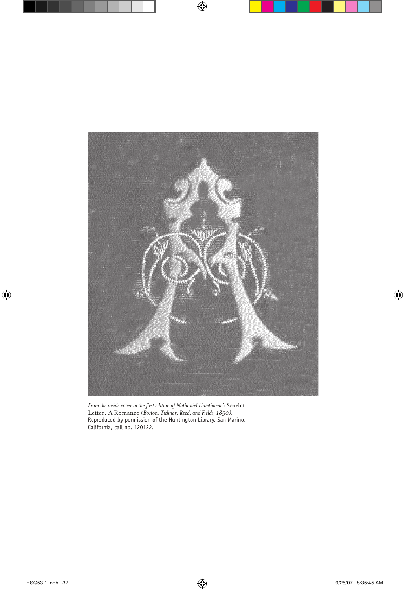

*From the inside cover to the first edition of Nathaniel Hawthorne's* Scarlet Letter: A Romance *(Boston: Ticknor, Reed, and Fields, 1850).* Reproduced by permission of the Huntington Library, San Marino, California, call no. 120122.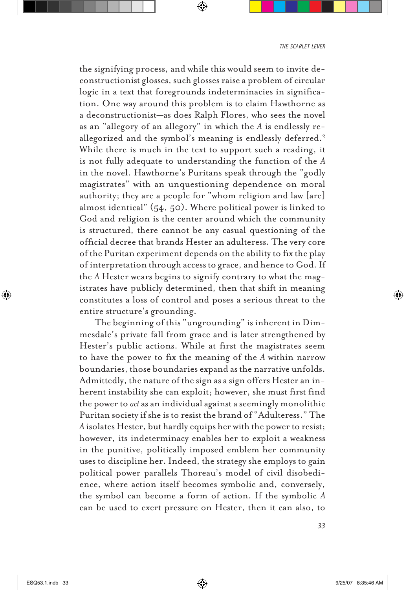the signifying process, and while this would seem to invite deconstructionist glosses, such glosses raise a problem of circular logic in a text that foregrounds indeterminacies in signification. One way around this problem is to claim Hawthorne as a deconstructionist—as does Ralph Flores, who sees the novel as an "allegory of an allegory" in which the *A* is endlessly reallegorized and the symbol's meaning is endlessly deferred.<sup>2</sup> While there is much in the text to support such a reading, it is not fully adequate to understanding the function of the *A* in the novel. Hawthorne's Puritans speak through the "godly magistrates" with an unquestioning dependence on moral authority; they are a people for "whom religion and law [are] almost identical" (54, 50). Where political power is linked to God and religion is the center around which the community is structured, there cannot be any casual questioning of the official decree that brands Hester an adulteress. The very core of the Puritan experiment depends on the ability to fix the play of interpretation through access to grace, and hence to God. If the *A* Hester wears begins to signify contrary to what the magistrates have publicly determined, then that shift in meaning constitutes a loss of control and poses a serious threat to the entire structure's grounding.

The beginning of this "ungrounding" is inherent in Dimmesdale's private fall from grace and is later strengthened by Hester's public actions. While at first the magistrates seem to have the power to fix the meaning of the *A* within narrow boundaries, those boundaries expand as the narrative unfolds. Admittedly, the nature of the sign as a sign offers Hester an inherent instability she can exploit; however, she must first find the power to *act* as an individual against a seemingly monolithic Puritan society if she is to resist the brand of "Adulteress." The *A* isolates Hester, but hardly equips her with the power to resist; however, its indeterminacy enables her to exploit a weakness in the punitive, politically imposed emblem her community uses to discipline her. Indeed, the strategy she employs to gain political power parallels Thoreau's model of civil disobedience, where action itself becomes symbolic and, conversely, the symbol can become a form of action. If the symbolic *A* can be used to exert pressure on Hester, then it can also, to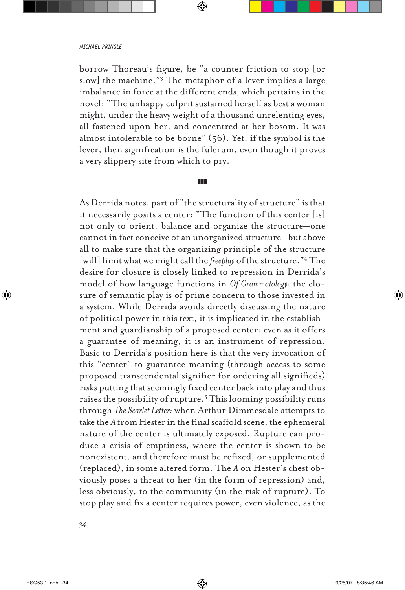borrow Thoreau's figure, be "a counter friction to stop [or slow] the machine."3 The metaphor of a lever implies a large imbalance in force at the different ends, which pertains in the novel: "The unhappy culprit sustained herself as best a woman might, under the heavy weight of a thousand unrelenting eyes, all fastened upon her, and concentred at her bosom. It was almost intolerable to be borne" (56). Yet, if the symbol is the lever, then signification is the fulcrum, even though it proves a very slippery site from which to pry.

## zzz

As Derrida notes, part of "the structurality of structure" is that it necessarily posits a center: "The function of this center [is] not only to orient, balance and organize the structure—one cannot in fact conceive of an unorganized structure—but above all to make sure that the organizing principle of the structure [will] limit what we might call the *freeplay* of the structure."4 The desire for closure is closely linked to repression in Derrida's model of how language functions in *Of Grammatology:* the closure of semantic play is of prime concern to those invested in a system. While Derrida avoids directly discussing the nature of political power in this text, it is implicated in the establishment and guardianship of a proposed center: even as it offers a guarantee of meaning, it is an instrument of repression. Basic to Derrida's position here is that the very invocation of this "center" to guarantee meaning (through access to some proposed transcendental signifier for ordering all signifieds) risks putting that seemingly fixed center back into play and thus raises the possibility of rupture.5 This looming possibility runs through *The Scarlet Letter:* when Arthur Dimmesdale attempts to take the *A* from Hester in the final scaffold scene, the ephemeral nature of the center is ultimately exposed. Rupture can produce a crisis of emptiness, where the center is shown to be nonexistent, and therefore must be refixed, or supplemented (replaced), in some altered form. The *A* on Hester's chest obviously poses a threat to her (in the form of repression) and, less obviously, to the community (in the risk of rupture). To stop play and fix a center requires power, even violence, as the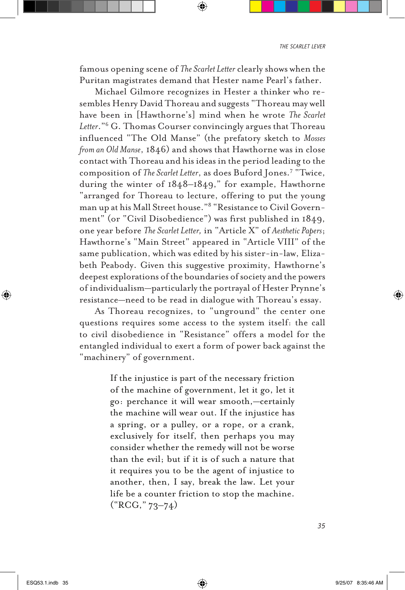famous opening scene of *The Scarlet Letter* clearly shows when the Puritan magistrates demand that Hester name Pearl's father.

Michael Gilmore recognizes in Hester a thinker who resembles Henry David Thoreau and suggests "Thoreau may well have been in [Hawthorne's] mind when he wrote *The Scarlet Letter*."6 G. Thomas Courser convincingly argues that Thoreau influenced "The Old Manse" (the prefatory sketch to *Mosses from an Old Manse*, 1846) and shows that Hawthorne was in close contact with Thoreau and his ideas in the period leading to the composition of *The Scarlet Letter*, as does Buford Jones.7 "Twice, during the winter of 1848–1849," for example, Hawthorne "arranged for Thoreau to lecture, offering to put the young man up at his Mall Street house."8 "Resistance to Civil Government" (or "Civil Disobedience") was first published in 1849, one year before *The Scarlet Letter,* in "Article X" of *Aesthetic Papers*; Hawthorne's "Main Street" appeared in "Article VIII" of the same publication, which was edited by his sister-in-law, Elizabeth Peabody. Given this suggestive proximity, Hawthorne's deepest explorations of the boundaries of society and the powers of individualism—particularly the portrayal of Hester Prynne's resistance—need to be read in dialogue with Thoreau's essay.

As Thoreau recognizes, to "unground" the center one questions requires some access to the system itself: the call to civil disobedience in "Resistance" offers a model for the entangled individual to exert a form of power back against the "machinery" of government.

> If the injustice is part of the necessary friction of the machine of government, let it go, let it go: perchance it will wear smooth,—certainly the machine will wear out. If the injustice has a spring, or a pulley, or a rope, or a crank, exclusively for itself, then perhaps you may consider whether the remedy will not be worse than the evil; but if it is of such a nature that it requires you to be the agent of injustice to another, then, I say, break the law. Let your life be a counter friction to stop the machine. ("RCG," 73–74)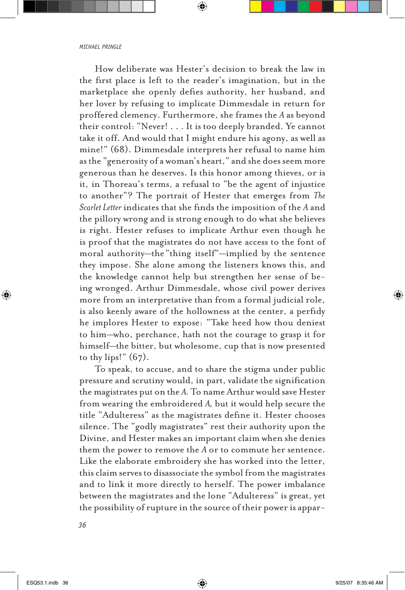How deliberate was Hester's decision to break the law in the first place is left to the reader's imagination, but in the marketplace she openly defies authority, her husband, and her lover by refusing to implicate Dimmesdale in return for proffered clemency. Furthermore, she frames the *A* as beyond their control: "Never! . . . It is too deeply branded. Ye cannot take it off. And would that I might endure his agony, as well as mine!" (68). Dimmesdale interprets her refusal to name him as the "generosity of a woman's heart," and she does seem more generous than he deserves. Is this honor among thieves, or is it, in Thoreau's terms, a refusal to "be the agent of injustice to another"? The portrait of Hester that emerges from *The Scarlet Letter* indicates that she finds the imposition of the *A* and the pillory wrong and is strong enough to do what she believes is right. Hester refuses to implicate Arthur even though he is proof that the magistrates do not have access to the font of moral authority—the"thing itself"—implied by the sentence they impose. She alone among the listeners knows this, and the knowledge cannot help but strengthen her sense of being wronged. Arthur Dimmesdale, whose civil power derives more from an interpretative than from a formal judicial role, is also keenly aware of the hollowness at the center, a perfidy he implores Hester to expose: "Take heed how thou deniest to him—who, perchance, hath not the courage to grasp it for himself—the bitter, but wholesome, cup that is now presented to thy lips!"  $(67)$ .

To speak, to accuse, and to share the stigma under public pressure and scrutiny would, in part, validate the signification the magistrates put on the *A.* To name Arthur would save Hester from wearing the embroidered *A,* but it would help secure the title "Adulteress" as the magistrates define it. Hester chooses silence. The "godly magistrates" rest their authority upon the Divine, and Hester makes an important claim when she denies them the power to remove the *A* or to commute her sentence. Like the elaborate embroidery she has worked into the letter, this claim serves to disassociate the symbol from the magistrates and to link it more directly to herself. The power imbalance between the magistrates and the lone "Adulteress" is great, yet the possibility of rupture in the source of their power is appar-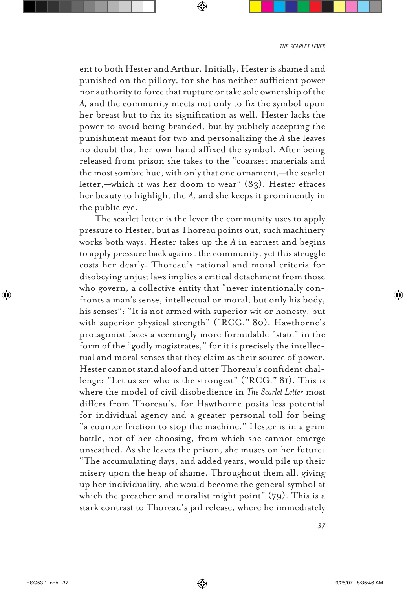ent to both Hester and Arthur. Initially, Hester is shamed and punished on the pillory, for she has neither sufficient power nor authority to force that rupture or take sole ownership of the *A,* and the community meets not only to fix the symbol upon her breast but to fix its signification as well. Hester lacks the power to avoid being branded, but by publicly accepting the punishment meant for two and personalizing the *A* she leaves no doubt that her own hand affixed the symbol. After being released from prison she takes to the "coarsest materials and the most sombre hue; with only that one ornament,—the scarlet letter,—which it was her doom to wear" (83). Hester effaces her beauty to highlight the *A,* and she keeps it prominently in the public eye.

The scarlet letter is the lever the community uses to apply pressure to Hester, but as Thoreau points out, such machinery works both ways. Hester takes up the *A* in earnest and begins to apply pressure back against the community, yet this struggle costs her dearly. Thoreau's rational and moral criteria for disobeying unjust laws implies a critical detachment from those who govern, a collective entity that "never intentionally confronts a man's sense, intellectual or moral, but only his body, his senses": "It is not armed with superior wit or honesty, but with superior physical strength" ("RCG," 80). Hawthorne's protagonist faces a seemingly more formidable "state" in the form of the "godly magistrates," for it is precisely the intellectual and moral senses that they claim as their source of power. Hester cannot stand aloof and utter Thoreau's confident challenge: "Let us see who is the strongest" ("RCG," 81). This is where the model of civil disobedience in *The Scarlet Letter* most differs from Thoreau's, for Hawthorne posits less potential for individual agency and a greater personal toll for being "a counter friction to stop the machine." Hester is in a grim battle, not of her choosing, from which she cannot emerge unscathed. As she leaves the prison, she muses on her future: "The accumulating days, and added years, would pile up their misery upon the heap of shame. Throughout them all, giving up her individuality, she would become the general symbol at which the preacher and moralist might point" (79). This is a stark contrast to Thoreau's jail release, where he immediately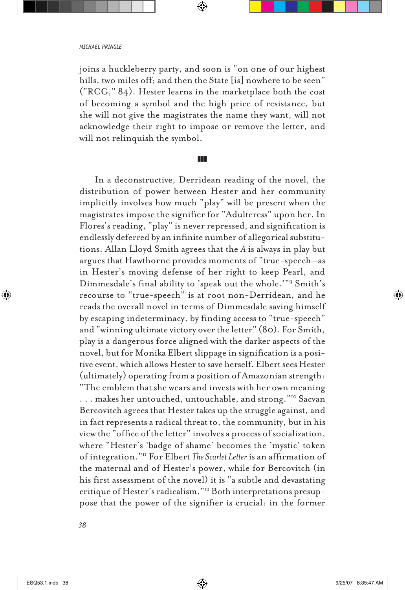joins a huckleberry party, and soon is "on one of our highest hills, two miles off; and then the State [is] nowhere to be seen" ("RCG," 84). Hester learns in the marketplace both the cost of becoming a symbol and the high price of resistance, but she will not give the magistrates the name they want, will not acknowledge their right to impose or remove the letter, and will not relinquish the symbol.

#### **z**

In a deconstructive, Derridean reading of the novel, the distribution of power between Hester and her community implicitly involves how much "play" will be present when the magistrates impose the signifier for "Adulteress" upon her. In Flores's reading, "play" is never repressed, and signification is endlessly deferred by an infinite number of allegorical substitutions. Allan Lloyd Smith agrees that the *A* is always in play but argues that Hawthorne provides moments of "true-speech—as in Hester's moving defense of her right to keep Pearl, and Dimmesdale's final ability to 'speak out the whole.'"9 Smith's recourse to "true-speech" is at root non-Derridean, and he reads the overall novel in terms of Dimmesdale saving himself by escaping indeterminacy, by finding access to "true-speech" and "winning ultimate victory over the letter" (80). For Smith, play is a dangerous force aligned with the darker aspects of the novel, but for Monika Elbert slippage in signification is a positive event, which allows Hester to save herself. Elbert sees Hester (ultimately) operating from a position of Amazonian strength: "The emblem that she wears and invests with her own meaning . . . makes her untouched, untouchable, and strong."10 Sacvan Bercovitch agrees that Hester takes up the struggle against, and in fact represents a radical threat to, the community, but in his view the "office of the letter" involves a process of socialization, where "Hester's 'badge of shame' becomes the 'mystic' token of integration."11 For Elbert *The Scarlet Letter* is an affirmation of the maternal and of Hester's power, while for Bercovitch (in his first assessment of the novel) it is "a subtle and devastating critique of Hester's radicalism."12 Both interpretations presuppose that the power of the signifier is crucial: in the former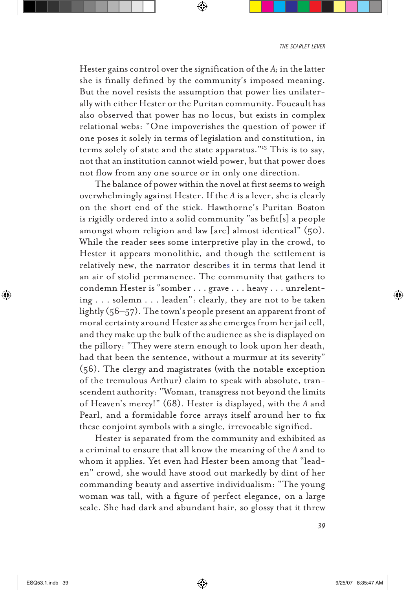Hester gains control over the signification of the *A;* in the latter she is finally defined by the community's imposed meaning. But the novel resists the assumption that power lies unilaterally with either Hester or the Puritan community. Foucault has also observed that power has no locus, but exists in complex relational webs: "One impoverishes the question of power if one poses it solely in terms of legislation and constitution, in terms solely of state and the state apparatus."13 This is to say, not that an institution cannot wield power, but that power does not flow from any one source or in only one direction.

The balance of power within the novel at first seems to weigh overwhelmingly against Hester. If the *A* is a lever, she is clearly on the short end of the stick. Hawthorne's Puritan Boston is rigidly ordered into a solid community "as befit[s] a people amongst whom religion and law [are] almost identical" (50). While the reader sees some interpretive play in the crowd, to Hester it appears monolithic, and though the settlement is relatively new, the narrator describes it in terms that lend it an air of stolid permanence. The community that gathers to condemn Hester is "somber . . . grave . . . heavy . . . unrelenting . . . solemn . . . leaden": clearly, they are not to be taken lightly (56–57). The town's people present an apparent front of moral certainty around Hester as she emerges from her jail cell, and they make up the bulk of the audience as she is displayed on the pillory: "They were stern enough to look upon her death, had that been the sentence, without a murmur at its severity" (56). The clergy and magistrates (with the notable exception of the tremulous Arthur) claim to speak with absolute, transcendent authority: "Woman, transgress not beyond the limits of Heaven's mercy!" (68). Hester is displayed, with the *A* and Pearl, and a formidable force arrays itself around her to fix these conjoint symbols with a single, irrevocable signified.

Hester is separated from the community and exhibited as a criminal to ensure that all know the meaning of the *A* and to whom it applies. Yet even had Hester been among that "leaden" crowd, she would have stood out markedly by dint of her commanding beauty and assertive individualism: "The young woman was tall, with a figure of perfect elegance, on a large scale. She had dark and abundant hair, so glossy that it threw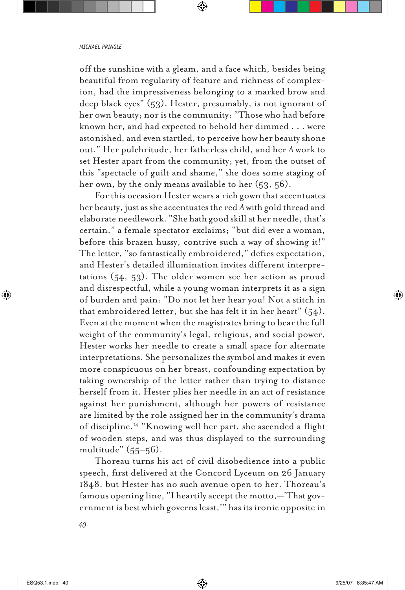off the sunshine with a gleam, and a face which, besides being beautiful from regularity of feature and richness of complexion, had the impressiveness belonging to a marked brow and deep black eyes" (53). Hester, presumably, is not ignorant of her own beauty; nor is the community: "Those who had before known her, and had expected to behold her dimmed . . . were astonished, and even startled, to perceive how her beauty shone out." Her pulchritude, her fatherless child, and her *A* work to set Hester apart from the community; yet, from the outset of this "spectacle of guilt and shame," she does some staging of her own, by the only means available to her (53, 56).

For this occasion Hester wears a rich gown that accentuates her beauty, just as she accentuates the red *A* with gold thread and elaborate needlework. "She hath good skill at her needle, that's certain," a female spectator exclaims; "but did ever a woman, before this brazen hussy, contrive such a way of showing it!" The letter, "so fantastically embroidered," defies expectation, and Hester's detailed illumination invites different interpretations (54, 53). The older women see her action as proud and disrespectful, while a young woman interprets it as a sign of burden and pain: "Do not let her hear you! Not a stitch in that embroidered letter, but she has felt it in her heart"  $(54)$ . Even at the moment when the magistrates bring to bear the full weight of the community's legal, religious, and social power, Hester works her needle to create a small space for alternate interpretations. She personalizes the symbol and makes it even more conspicuous on her breast, confounding expectation by taking ownership of the letter rather than trying to distance herself from it. Hester plies her needle in an act of resistance against her punishment, although her powers of resistance are limited by the role assigned her in the community's drama of discipline.14 "Knowing well her part, she ascended a flight of wooden steps, and was thus displayed to the surrounding multitude" (55–56).

Thoreau turns his act of civil disobedience into a public speech, first delivered at the Concord Lyceum on 26 January 1848, but Hester has no such avenue open to her. Thoreau's famous opening line, "I heartily accept the motto,—'That government is best which governs least,'" has its ironic opposite in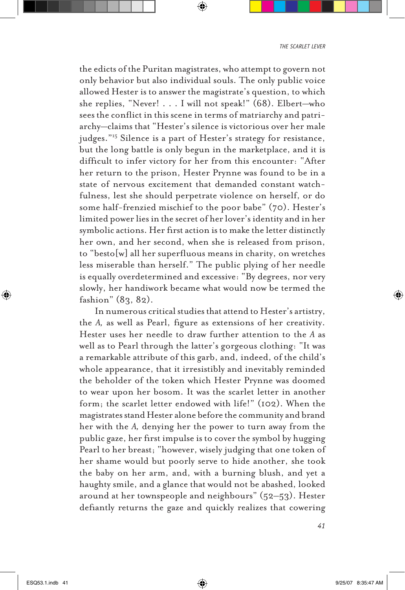the edicts of the Puritan magistrates, who attempt to govern not only behavior but also individual souls. The only public voice allowed Hester is to answer the magistrate's question, to which she replies, "Never! . . . I will not speak!" (68). Elbert—who sees the conflict in this scene in terms of matriarchy and patriarchy—claims that "Hester's silence is victorious over her male judges."15 Silence is a part of Hester's strategy for resistance, but the long battle is only begun in the marketplace, and it is difficult to infer victory for her from this encounter: "After her return to the prison, Hester Prynne was found to be in a state of nervous excitement that demanded constant watchfulness, lest she should perpetrate violence on herself, or do some half-frenzied mischief to the poor babe" (70). Hester's limited power lies in the secret of her lover's identity and in her symbolic actions. Her first action is to make the letter distinctly her own, and her second, when she is released from prison, to "besto[w] all her superfluous means in charity, on wretches less miserable than herself." The public plying of her needle is equally overdetermined and excessive: "By degrees, nor very slowly, her handiwork became what would now be termed the fashion" (83, 82).

In numerous critical studies that attend to Hester's artistry, the *A,* as well as Pearl, figure as extensions of her creativity. Hester uses her needle to draw further attention to the *A* as well as to Pearl through the latter's gorgeous clothing: "It was a remarkable attribute of this garb, and, indeed, of the child's whole appearance, that it irresistibly and inevitably reminded the beholder of the token which Hester Prynne was doomed to wear upon her bosom. It was the scarlet letter in another form; the scarlet letter endowed with life!" (102). When the magistrates stand Hester alone before the community and brand her with the *A,* denying her the power to turn away from the public gaze, her first impulse is to cover the symbol by hugging Pearl to her breast; "however, wisely judging that one token of her shame would but poorly serve to hide another, she took the baby on her arm, and, with a burning blush, and yet a haughty smile, and a glance that would not be abashed, looked around at her townspeople and neighbours" (52–53). Hester defiantly returns the gaze and quickly realizes that cowering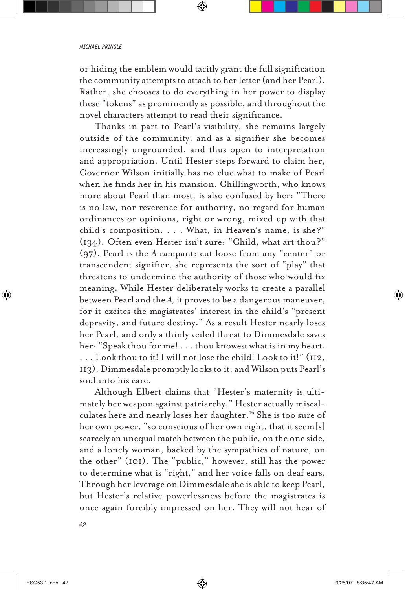or hiding the emblem would tacitly grant the full signification the community attempts to attach to her letter (and her Pearl). Rather, she chooses to do everything in her power to display these "tokens" as prominently as possible, and throughout the novel characters attempt to read their significance.

Thanks in part to Pearl's visibility, she remains largely outside of the community, and as a signifier she becomes increasingly ungrounded, and thus open to interpretation and appropriation. Until Hester steps forward to claim her, Governor Wilson initially has no clue what to make of Pearl when he finds her in his mansion. Chillingworth, who knows more about Pearl than most, is also confused by her: "There is no law, nor reverence for authority, no regard for human ordinances or opinions, right or wrong, mixed up with that child's composition. . . . What, in Heaven's name, is she?" (134). Often even Hester isn't sure: "Child, what art thou?" (97). Pearl is the *A* rampant: cut loose from any "center" or transcendent signifier, she represents the sort of "play" that threatens to undermine the authority of those who would fix meaning. While Hester deliberately works to create a parallel between Pearl and the *A,* it proves to be a dangerous maneuver, for it excites the magistrates' interest in the child's "present depravity, and future destiny." As a result Hester nearly loses her Pearl, and only a thinly veiled threat to Dimmesdale saves her: "Speak thou for me! . . . thou knowest what is in my heart. . . . Look thou to it! I will not lose the child! Look to it!" (112, 113). Dimmesdale promptly looks to it, and Wilson puts Pearl's soul into his care.

Although Elbert claims that "Hester's maternity is ultimately her weapon against patriarchy," Hester actually miscalculates here and nearly loses her daughter.<sup>16</sup> She is too sure of her own power, "so conscious of her own right, that it seem[s] scarcely an unequal match between the public, on the one side, and a lonely woman, backed by the sympathies of nature, on the other" (101). The "public," however, still has the power to determine what is "right," and her voice falls on deaf ears. Through her leverage on Dimmesdale she is able to keep Pearl, but Hester's relative powerlessness before the magistrates is once again forcibly impressed on her. They will not hear of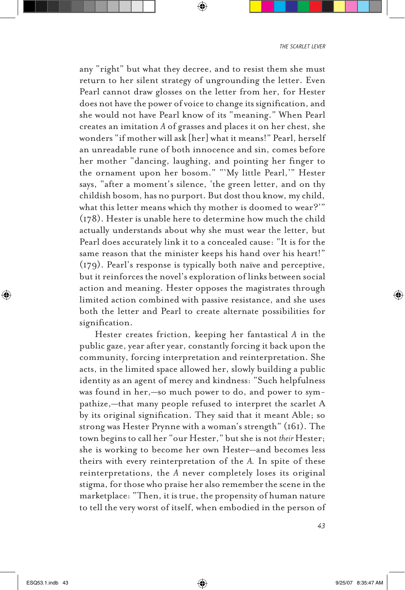any "right" but what they decree, and to resist them she must return to her silent strategy of ungrounding the letter. Even Pearl cannot draw glosses on the letter from her, for Hester does not have the power of voice to change its signification, and she would not have Pearl know of its "meaning." When Pearl creates an imitation *A* of grasses and places it on her chest, she wonders "if mother will ask [her] what it means!" Pearl, herself an unreadable rune of both innocence and sin, comes before her mother "dancing, laughing, and pointing her finger to the ornament upon her bosom." "'My little Pearl,'" Hester says, "after a moment's silence, 'the green letter, and on thy childish bosom, has no purport. But dost thou know, my child, what this letter means which thy mother is doomed to wear?'" (178). Hester is unable here to determine how much the child actually understands about why she must wear the letter, but Pearl does accurately link it to a concealed cause: "It is for the same reason that the minister keeps his hand over his heart!" (179). Pearl's response is typically both naïve and perceptive, but it reinforces the novel's exploration of links between social action and meaning. Hester opposes the magistrates through limited action combined with passive resistance, and she uses both the letter and Pearl to create alternate possibilities for signification.

Hester creates friction, keeping her fantastical *A* in the public gaze, year after year, constantly forcing it back upon the community, forcing interpretation and reinterpretation. She acts, in the limited space allowed her, slowly building a public identity as an agent of mercy and kindness: "Such helpfulness was found in her,—so much power to do, and power to sympathize,—that many people refused to interpret the scarlet A by its original signification. They said that it meant Able; so strong was Hester Prynne with a woman's strength" (161). The town begins to call her "our Hester," but she is not *their* Hester; she is working to become her own Hester—and becomes less theirs with every reinterpretation of the *A.* In spite of these reinterpretations, the *A* never completely loses its original stigma, for those who praise her also remember the scene in the marketplace: "Then, it is true, the propensity of human nature to tell the very worst of itself, when embodied in the person of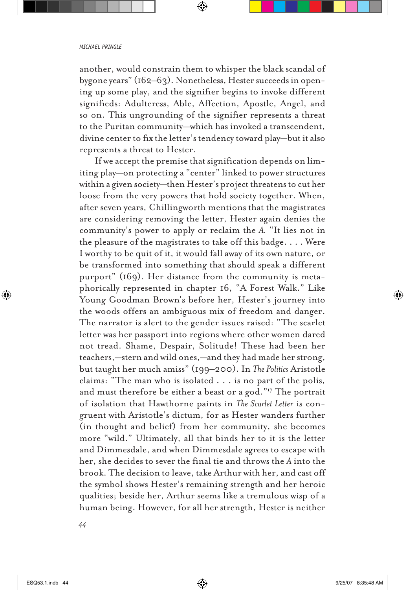another, would constrain them to whisper the black scandal of bygone years" (162–63). Nonetheless, Hester succeeds in opening up some play, and the signifier begins to invoke different signifieds: Adulteress, Able, Affection, Apostle, Angel, and so on. This ungrounding of the signifier represents a threat to the Puritan community—which has invoked a transcendent, divine center to fix the letter's tendency toward play—but it also represents a threat to Hester.

If we accept the premise that signification depends on limiting play—on protecting a "center" linked to power structures within a given society—then Hester's project threatens to cut her loose from the very powers that hold society together. When, after seven years, Chillingworth mentions that the magistrates are considering removing the letter, Hester again denies the community's power to apply or reclaim the *A.* "It lies not in the pleasure of the magistrates to take off this badge. . . . Were I worthy to be quit of it, it would fall away of its own nature, or be transformed into something that should speak a different purport" (169). Her distance from the community is metaphorically represented in chapter 16, "A Forest Walk." Like Young Goodman Brown's before her, Hester's journey into the woods offers an ambiguous mix of freedom and danger. The narrator is alert to the gender issues raised: "The scarlet letter was her passport into regions where other women dared not tread. Shame, Despair, Solitude! These had been her teachers,—stern and wild ones,—and they had made her strong, but taught her much amiss" (199–200). In *The Politics* Aristotle claims: "The man who is isolated . . . is no part of the polis, and must therefore be either a beast or a god."17 The portrait of isolation that Hawthorne paints in *The Scarlet Letter* is congruent with Aristotle's dictum, for as Hester wanders further (in thought and belief) from her community, she becomes more "wild." Ultimately, all that binds her to it is the letter and Dimmesdale, and when Dimmesdale agrees to escape with her, she decides to sever the final tie and throws the *A* into the brook. The decision to leave, take Arthur with her, and cast off the symbol shows Hester's remaining strength and her heroic qualities; beside her, Arthur seems like a tremulous wisp of a human being. However, for all her strength, Hester is neither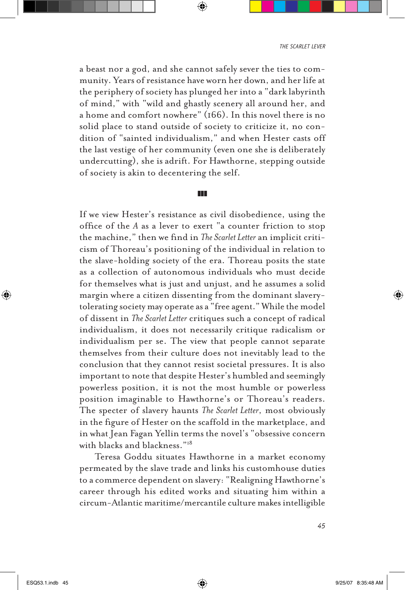a beast nor a god, and she cannot safely sever the ties to community. Years of resistance have worn her down, and her life at the periphery of society has plunged her into a "dark labyrinth of mind," with "wild and ghastly scenery all around her, and a home and comfort nowhere" (166). In this novel there is no solid place to stand outside of society to criticize it, no condition of "sainted individualism," and when Hester casts off the last vestige of her community (even one she is deliberately undercutting), she is adrift. For Hawthorne, stepping outside of society is akin to decentering the self.

#### zzz

If we view Hester's resistance as civil disobedience, using the office of the *A* as a lever to exert "a counter friction to stop the machine," then we find in *The Scarlet Letter* an implicit criticism of Thoreau's positioning of the individual in relation to the slave-holding society of the era. Thoreau posits the state as a collection of autonomous individuals who must decide for themselves what is just and unjust, and he assumes a solid margin where a citizen dissenting from the dominant slaverytolerating society may operate as a "free agent." While the model of dissent in *The Scarlet Letter* critiques such a concept of radical individualism, it does not necessarily critique radicalism or individualism per se. The view that people cannot separate themselves from their culture does not inevitably lead to the conclusion that they cannot resist societal pressures. It is also important to note that despite Hester's humbled and seemingly powerless position, it is not the most humble or powerless position imaginable to Hawthorne's or Thoreau's readers. The specter of slavery haunts *The Scarlet Letter*, most obviously in the figure of Hester on the scaffold in the marketplace, and in what Jean Fagan Yellin terms the novel's "obsessive concern with blacks and blackness."18

Teresa Goddu situates Hawthorne in a market economy permeated by the slave trade and links his customhouse duties to a commerce dependent on slavery: "Realigning Hawthorne's career through his edited works and situating him within a circum-Atlantic maritime/mercantile culture makes intelligible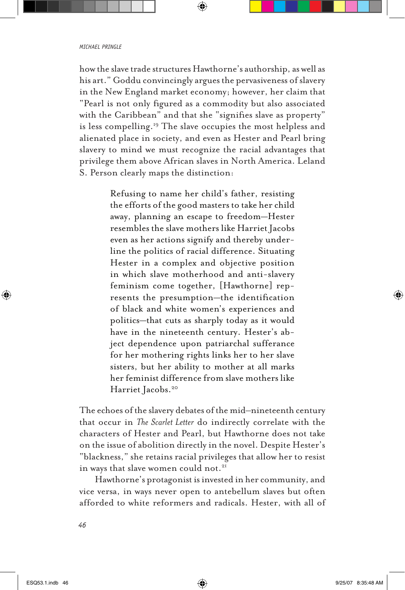how the slave trade structures Hawthorne's authorship, as well as his art." Goddu convincingly argues the pervasiveness of slavery in the New England market economy; however, her claim that "Pearl is not only figured as a commodity but also associated with the Caribbean" and that she "signifies slave as property" is less compelling.<sup>19</sup> The slave occupies the most helpless and alienated place in society, and even as Hester and Pearl bring slavery to mind we must recognize the racial advantages that privilege them above African slaves in North America. Leland S. Person clearly maps the distinction:

> Refusing to name her child's father, resisting the efforts of the good masters to take her child away, planning an escape to freedom—Hester resembles the slave mothers like Harriet Jacobs even as her actions signify and thereby underline the politics of racial difference. Situating Hester in a complex and objective position in which slave motherhood and anti-slavery feminism come together, [Hawthorne] represents the presumption—the identification of black and white women's experiences and politics—that cuts as sharply today as it would have in the nineteenth century. Hester's abject dependence upon patriarchal sufferance for her mothering rights links her to her slave sisters, but her ability to mother at all marks her feminist difference from slave mothers like Harriet Jacobs.<sup>20</sup>

The echoes of the slavery debates of the mid–nineteenth century that occur in *The Scarlet Letter* do indirectly correlate with the characters of Hester and Pearl, but Hawthorne does not take on the issue of abolition directly in the novel. Despite Hester's "blackness," she retains racial privileges that allow her to resist in ways that slave women could not.<sup>21</sup>

Hawthorne's protagonist is invested in her community, and vice versa, in ways never open to antebellum slaves but often afforded to white reformers and radicals. Hester, with all of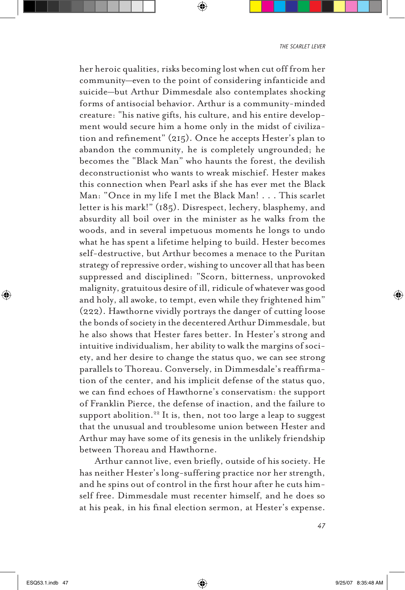her heroic qualities, risks becoming lost when cut off from her community—even to the point of considering infanticide and suicide—but Arthur Dimmesdale also contemplates shocking forms of antisocial behavior. Arthur is a community-minded creature: "his native gifts, his culture, and his entire development would secure him a home only in the midst of civilization and refinement" (215). Once he accepts Hester's plan to abandon the community, he is completely ungrounded; he becomes the "Black Man" who haunts the forest, the devilish deconstructionist who wants to wreak mischief. Hester makes this connection when Pearl asks if she has ever met the Black Man: "Once in my life I met the Black Man! . . . This scarlet letter is his mark!" (185). Disrespect, lechery, blasphemy, and absurdity all boil over in the minister as he walks from the woods, and in several impetuous moments he longs to undo what he has spent a lifetime helping to build. Hester becomes self-destructive, but Arthur becomes a menace to the Puritan strategy of repressive order, wishing to uncover all that has been suppressed and disciplined: "Scorn, bitterness, unprovoked malignity, gratuitous desire of ill, ridicule of whatever was good and holy, all awoke, to tempt, even while they frightened him" (222). Hawthorne vividly portrays the danger of cutting loose the bonds of society in the decentered Arthur Dimmesdale, but he also shows that Hester fares better. In Hester's strong and intuitive individualism, her ability to walk the margins of society, and her desire to change the status quo, we can see strong parallels to Thoreau. Conversely, in Dimmesdale's reaffirmation of the center, and his implicit defense of the status quo, we can find echoes of Hawthorne's conservatism: the support of Franklin Pierce, the defense of inaction, and the failure to support abolition.22 It is, then, not too large a leap to suggest that the unusual and troublesome union between Hester and Arthur may have some of its genesis in the unlikely friendship between Thoreau and Hawthorne.

Arthur cannot live, even briefly, outside of his society. He has neither Hester's long-suffering practice nor her strength, and he spins out of control in the first hour after he cuts himself free. Dimmesdale must recenter himself, and he does so at his peak, in his final election sermon, at Hester's expense.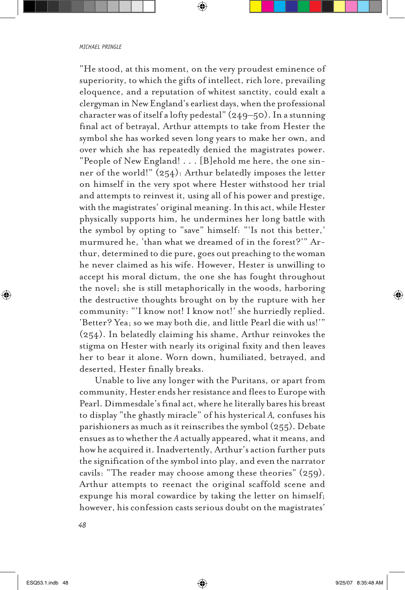"He stood, at this moment, on the very proudest eminence of superiority, to which the gifts of intellect, rich lore, prevailing eloquence, and a reputation of whitest sanctity, could exalt a clergyman in New England's earliest days, when the professional character was of itself a lofty pedestal" (249–50). In a stunning final act of betrayal, Arthur attempts to take from Hester the symbol she has worked seven long years to make her own, and over which she has repeatedly denied the magistrates power. "People of New England! . . . [B]ehold me here, the one sinner of the world!" (254): Arthur belatedly imposes the letter on himself in the very spot where Hester withstood her trial and attempts to reinvest it, using all of his power and prestige, with the magistrates' original meaning. In this act, while Hester physically supports him, he undermines her long battle with the symbol by opting to "save" himself: "'Is not this better,' murmured he, 'than what we dreamed of in the forest?'" Arthur, determined to die pure, goes out preaching to the woman he never claimed as his wife. However, Hester is unwilling to accept his moral dictum, the one she has fought throughout the novel; she is still metaphorically in the woods, harboring the destructive thoughts brought on by the rupture with her community: "'I know not! I know not!' she hurriedly replied. 'Better? Yea; so we may both die, and little Pearl die with us!'" (254). In belatedly claiming his shame, Arthur reinvokes the stigma on Hester with nearly its original fixity and then leaves her to bear it alone. Worn down, humiliated, betrayed, and deserted, Hester finally breaks.

Unable to live any longer with the Puritans, or apart from community, Hester ends her resistance and flees to Europe with Pearl. Dimmesdale's final act, where he literally bares his breast to display "the ghastly miracle" of his hysterical *A,* confuses his parishioners as much as it reinscribes the symbol (255). Debate ensues as to whether the *A* actually appeared, what it means, and how he acquired it. Inadvertently, Arthur's action further puts the signification of the symbol into play, and even the narrator cavils: "The reader may choose among these theories" (259). Arthur attempts to reenact the original scaffold scene and expunge his moral cowardice by taking the letter on himself; however, his confession casts serious doubt on the magistrates'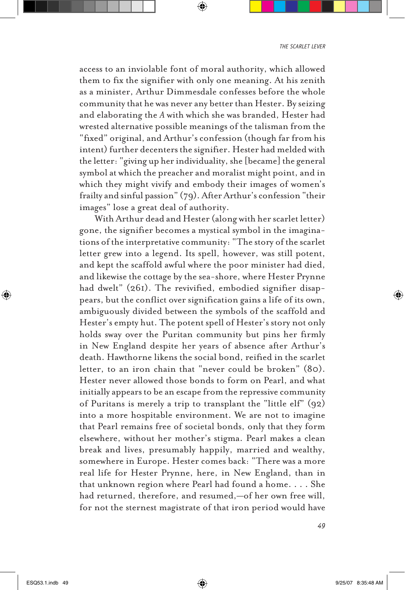access to an inviolable font of moral authority, which allowed them to fix the signifier with only one meaning. At his zenith as a minister, Arthur Dimmesdale confesses before the whole community that he was never any better than Hester. By seizing and elaborating the *A* with which she was branded, Hester had wrested alternative possible meanings of the talisman from the "fixed" original, and Arthur's confession (though far from his intent) further decenters the signifier. Hester had melded with the letter: "giving up her individuality, she [became] the general symbol at which the preacher and moralist might point, and in which they might vivify and embody their images of women's frailty and sinful passion" (79). After Arthur's confession "their images" lose a great deal of authority.

With Arthur dead and Hester (along with her scarlet letter) gone, the signifier becomes a mystical symbol in the imaginations of the interpretative community: "The story of the scarlet letter grew into a legend. Its spell, however, was still potent, and kept the scaffold awful where the poor minister had died, and likewise the cottage by the sea-shore, where Hester Prynne had dwelt" (261). The revivified, embodied signifier disappears, but the conflict over signification gains a life of its own, ambiguously divided between the symbols of the scaffold and Hester's empty hut. The potent spell of Hester's story not only holds sway over the Puritan community but pins her firmly in New England despite her years of absence after Arthur's death. Hawthorne likens the social bond, reified in the scarlet letter, to an iron chain that "never could be broken" (80). Hester never allowed those bonds to form on Pearl, and what initially appears to be an escape from the repressive community of Puritans is merely a trip to transplant the "little elf" (92) into a more hospitable environment. We are not to imagine that Pearl remains free of societal bonds, only that they form elsewhere, without her mother's stigma. Pearl makes a clean break and lives, presumably happily, married and wealthy, somewhere in Europe. Hester comes back: "There was a more real life for Hester Prynne, here, in New England, than in that unknown region where Pearl had found a home. . . . She had returned, therefore, and resumed,—of her own free will, for not the sternest magistrate of that iron period would have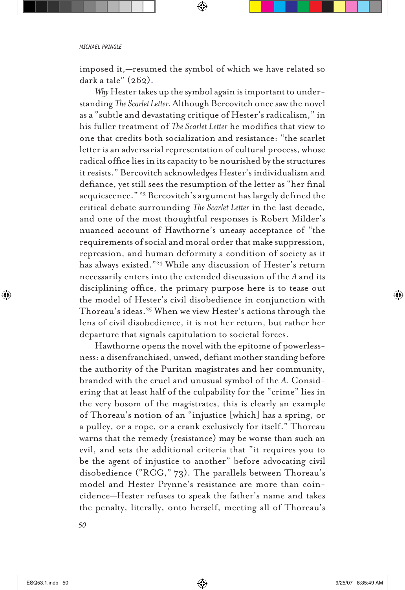imposed it,—resumed the symbol of which we have related so dark a tale" (262).

*Why* Hester takes up the symbol again is important to understanding *The Scarlet Letter.* Although Bercovitch once saw the novel as a "subtle and devastating critique of Hester's radicalism," in his fuller treatment of *The Scarlet Letter* he modifies that view to one that credits both socialization and resistance: "the scarlet letter is an adversarial representation of cultural process, whose radical office lies in its capacity to be nourished by the structures it resists." Bercovitch acknowledges Hester's individualism and defiance, yet still sees the resumption of the letter as "her final acquiescence." 23 Bercovitch's argument has largely defined the critical debate surrounding *The Scarlet Letter* in the last decade, and one of the most thoughtful responses is Robert Milder's nuanced account of Hawthorne's uneasy acceptance of "the requirements of social and moral order that make suppression, repression, and human deformity a condition of society as it has always existed."24 While any discussion of Hester's return necessarily enters into the extended discussion of the *A* and its disciplining office, the primary purpose here is to tease out the model of Hester's civil disobedience in conjunction with Thoreau's ideas.25 When we view Hester's actions through the lens of civil disobedience, it is not her return, but rather her departure that signals capitulation to societal forces.

Hawthorne opens the novel with the epitome of powerlessness: a disenfranchised, unwed, defiant mother standing before the authority of the Puritan magistrates and her community, branded with the cruel and unusual symbol of the *A.* Considering that at least half of the culpability for the "crime" lies in the very bosom of the magistrates, this is clearly an example of Thoreau's notion of an "injustice [which] has a spring, or a pulley, or a rope, or a crank exclusively for itself." Thoreau warns that the remedy (resistance) may be worse than such an evil, and sets the additional criteria that "it requires you to be the agent of injustice to another" before advocating civil disobedience ("RCG," 73). The parallels between Thoreau's model and Hester Prynne's resistance are more than coincidence—Hester refuses to speak the father's name and takes the penalty, literally, onto herself, meeting all of Thoreau's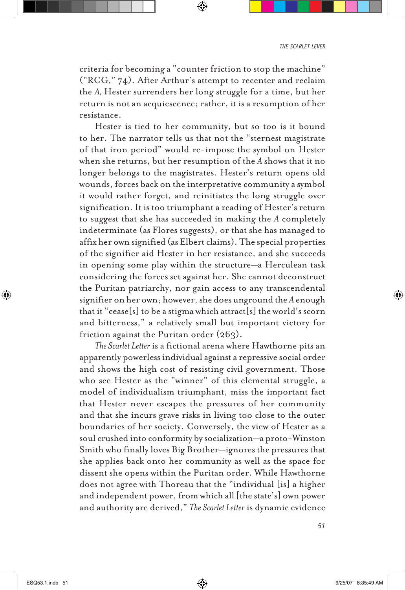criteria for becoming a "counter friction to stop the machine" ("RCG," 74). After Arthur's attempt to recenter and reclaim the *A,* Hester surrenders her long struggle for a time, but her return is not an acquiescence; rather, it is a resumption of her resistance.

Hester is tied to her community, but so too is it bound to her. The narrator tells us that not the "sternest magistrate of that iron period" would re-impose the symbol on Hester when she returns, but her resumption of the *A* shows that it no longer belongs to the magistrates. Hester's return opens old wounds, forces back on the interpretative community a symbol it would rather forget, and reinitiates the long struggle over signification. It is too triumphant a reading of Hester's return to suggest that she has succeeded in making the *A* completely indeterminate (as Flores suggests), or that she has managed to affix her own signified (as Elbert claims). The special properties of the signifier aid Hester in her resistance, and she succeeds in opening some play within the structure—a Herculean task considering the forces set against her. She cannot deconstruct the Puritan patriarchy, nor gain access to any transcendental signifier on her own; however, she does unground the *A* enough that it "cease[s] to be a stigma which attract[s] the world's scorn and bitterness," a relatively small but important victory for friction against the Puritan order (263).

*The Scarlet Letter* is a fictional arena where Hawthorne pits an apparently powerless individual against a repressive social order and shows the high cost of resisting civil government. Those who see Hester as the "winner" of this elemental struggle, a model of individualism triumphant, miss the important fact that Hester never escapes the pressures of her community and that she incurs grave risks in living too close to the outer boundaries of her society. Conversely, the view of Hester as a soul crushed into conformity by socialization—a proto-Winston Smith who finally loves Big Brother—ignores the pressures that she applies back onto her community as well as the space for dissent she opens within the Puritan order. While Hawthorne does not agree with Thoreau that the "individual [is] a higher and independent power, from which all [the state's] own power and authority are derived," *The Scarlet Letter* is dynamic evidence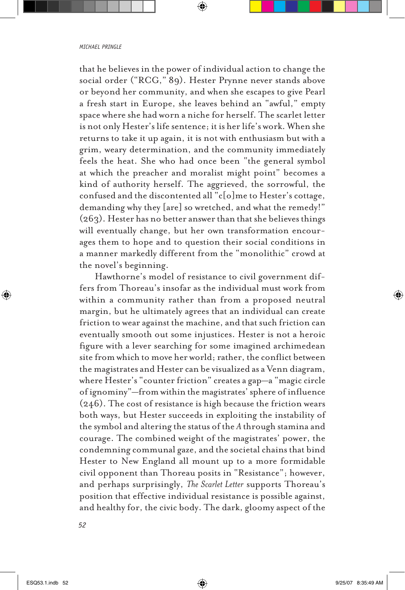that he believes in the power of individual action to change the social order ("RCG," 89). Hester Prynne never stands above or beyond her community, and when she escapes to give Pearl a fresh start in Europe, she leaves behind an "awful," empty space where she had worn a niche for herself. The scarlet letter is not only Hester's life sentence; it is her life's work. When she returns to take it up again, it is not with enthusiasm but with a grim, weary determination, and the community immediately feels the heat. She who had once been "the general symbol at which the preacher and moralist might point" becomes a kind of authority herself. The aggrieved, the sorrowful, the confused and the discontented all "c[o]me to Hester's cottage, demanding why they [are] so wretched, and what the remedy!" (263). Hester has no better answer than that she believes things will eventually change, but her own transformation encourages them to hope and to question their social conditions in a manner markedly different from the "monolithic" crowd at the novel's beginning.

Hawthorne's model of resistance to civil government differs from Thoreau's insofar as the individual must work from within a community rather than from a proposed neutral margin, but he ultimately agrees that an individual can create friction to wear against the machine, and that such friction can eventually smooth out some injustices. Hester is not a heroic figure with a lever searching for some imagined archimedean site from which to move her world; rather, the conflict between the magistrates and Hester can be visualized as a Venn diagram, where Hester's "counter friction" creates a gap—a "magic circle of ignominy"—from within the magistrates' sphere of influence (246). The cost of resistance is high because the friction wears both ways, but Hester succeeds in exploiting the instability of the symbol and altering the status of the *A* through stamina and courage. The combined weight of the magistrates' power, the condemning communal gaze, and the societal chains that bind Hester to New England all mount up to a more formidable civil opponent than Thoreau posits in "Resistance"; however, and perhaps surprisingly, *The Scarlet Letter* supports Thoreau's position that effective individual resistance is possible against, and healthy for, the civic body. The dark, gloomy aspect of the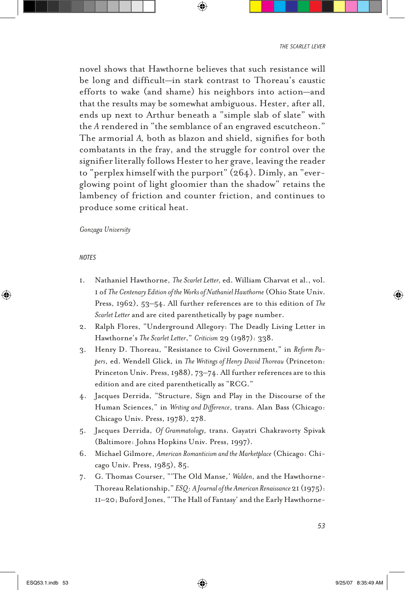novel shows that Hawthorne believes that such resistance will be long and difficult—in stark contrast to Thoreau's caustic efforts to wake (and shame) his neighbors into action—and that the results may be somewhat ambiguous. Hester, after all, ends up next to Arthur beneath a "simple slab of slate" with the *A* rendered in "the semblance of an engraved escutcheon." The armorial *A,* both as blazon and shield, signifies for both combatants in the fray, and the struggle for control over the signifier literally follows Hester to her grave, leaving the reader to "perplex himself with the purport" (264). Dimly, an "everglowing point of light gloomier than the shadow" retains the lambency of friction and counter friction, and continues to produce some critical heat.

# *Gonzaga University*

# *notes*

- 1. Nathaniel Hawthorne, *The Scarlet Letter,* ed. William Charvat et al., vol. 1 of *The Centenary Edition of the Works of Nathaniel Hawthorne* (Ohio State Univ. Press, 1962), 53–54. All further references are to this edition of *The Scarlet Letter* and are cited parenthetically by page number.
- 2. Ralph Flores, "Underground Allegory: The Deadly Living Letter in Hawthorne's *The Scarlet Letter*," *Criticism* 29 (1987): 338.
- 3. Henry D. Thoreau, "Resistance to Civil Government," in *Reform Papers*, ed. Wendell Glick, in *The Writings of Henry David Thoreau* (Princeton: Princeton Univ. Press, 1988), 73–74. All further references are to this edition and are cited parenthetically as "RCG."
- 4. Jacques Derrida, "Structure, Sign and Play in the Discourse of the Human Sciences," in *Writing and Difference*, trans. Alan Bass (Chicago: Chicago Univ. Press, 1978), 278.
- 5. Jacques Derrida, *Of Grammatology,* trans. Gayatri Chakravorty Spivak (Baltimore: Johns Hopkins Univ. Press, 1997).
- 6. Michael Gilmore, *American Romanticism and the Marketplace* (Chicago: Chicago Univ. Press, 1985), 85.
- 7. G. Thomas Courser, "'The Old Manse,' *Walden*, and the Hawthorne-Thoreau Relationship," *ESQ*: *A Journal of the American Renaissance* 21 (1975): 11–20; Buford Jones, "'The Hall of Fantasy' and the Early Hawthorne-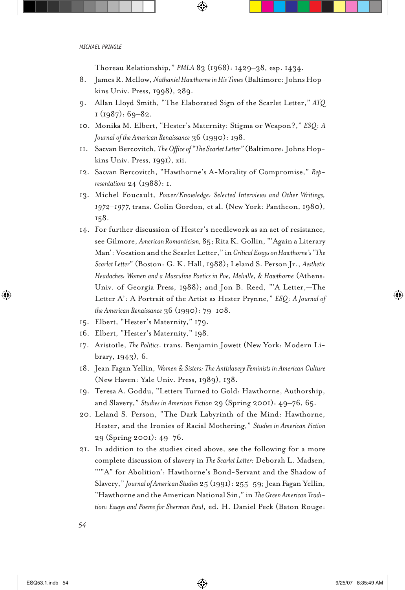Thoreau Relationship," *PMLA* 83 (1968): 1429–38, esp. 1434.

- 8. James R. Mellow, *Nathaniel Hawthorne in His Times* (Baltimore: Johns Hopkins Univ. Press, 1998), 289.
- 9. Allan Lloyd Smith, "The Elaborated Sign of the Scarlet Letter," *ATQ* 1 (1987): 69–82.
- 10. Monika M. Elbert, "Hester's Maternity: Stigma or Weapon?," *ESQ*: *A Journal of the American Renaissance* 36 (1990): 198.
- 11. Sacvan Bercovitch, *The Office of "The Scarlet Letter"* (Baltimore: Johns Hopkins Univ. Press, 1991), xii.
- 12. Sacvan Bercovitch, "Hawthorne's A-Morality of Compromise," *Representations* 24 (1988): 1.
- 13. Michel Foucault, *Power/Knowledge: Selected Interviews and Other Writings, 1972–1977,* trans. Colin Gordon, et al. (New York: Pantheon, 1980), 158.
- 14. For further discussion of Hester's needlework as an act of resistance, see Gilmore, *American Romanticism,* 85; Rita K. Gollin, "'Again a Literary Man': Vocation and the Scarlet Letter," in *Critical Essays on Hawthorne's "The Scarlet Letter*" (Boston: G. K. Hall, 1988); Leland S. Person Jr., *Aesthetic Headaches: Women and a Masculine Poetics in Poe, Melville, & Hawthorne* (Athens: Univ. of Georgia Press, 1988); and Jon B. Reed, "'A Letter,—The Letter A': A Portrait of the Artist as Hester Prynne," *ESQ*: *A Journal of the American Renaissance* 36 (1990): 79–108.
- 15. Elbert, "Hester's Maternity," 179.
- 16. Elbert, "Hester's Maternity," 198.
- 17. Aristotle, *The Politics*. trans. Benjamin Jowett (New York: Modern Library, 1943), 6.
- 18. Jean Fagan Yellin, *Women & Sisters: The Antislavery Feminists in American Culture* (New Haven: Yale Univ. Press, 1989), 138.
- 19. Teresa A. Goddu, "Letters Turned to Gold: Hawthorne, Authorship, and Slavery," *Studies in American Fiction* 29 (Spring 2001): 49–76, 65.
- 20. Leland S. Person, "The Dark Labyrinth of the Mind: Hawthorne, Hester, and the Ironies of Racial Mothering," *Studies in American Fiction* 29 (Spring 2001): 49–76.
- 21. In addition to the studies cited above, see the following for a more complete discussion of slavery in *The Scarlet Letter:* Deborah L. Madsen, "'"A" for Abolition': Hawthorne's Bond-Servant and the Shadow of Slavery," *Journal of American Studies* 25 (1991): 255–59; Jean Fagan Yellin, "Hawthorne and the American National Sin," in *The Green American Tradition: Essays and Poems for Sherman Paul*, ed. H. Daniel Peck (Baton Rouge: